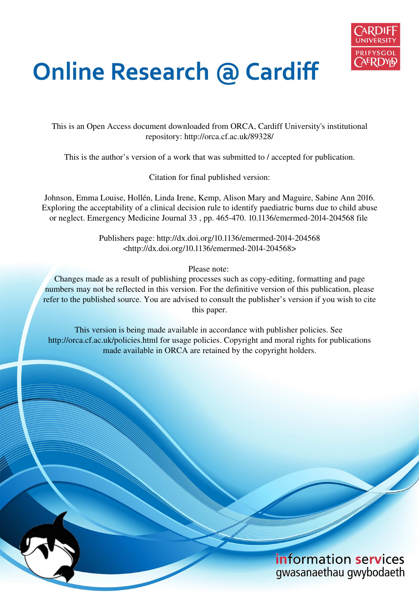

# **Online Research @ Cardiff**

This is an Open Access document downloaded from ORCA, Cardiff University's institutional repository: http://orca.cf.ac.uk/89328/

This is the author's version of a work that was submitted to / accepted for publication.

Citation for final published version:

Johnson, Emma Louise, Hollén, Linda Irene, Kemp, Alison Mary and Maguire, Sabine Ann 2016. Exploring the acceptability of a clinical decision rule to identify paediatric burns due to child abuse or neglect. Emergency Medicine Journal 33 , pp. 465-470. 10.1136/emermed-2014-204568 file

> Publishers page: http://dx.doi.org/10.1136/emermed-2014-204568 <http://dx.doi.org/10.1136/emermed-2014-204568>

> > Please note:

Changes made as a result of publishing processes such as copy-editing, formatting and page numbers may not be reflected in this version. For the definitive version of this publication, please refer to the published source. You are advised to consult the publisher's version if you wish to cite this paper.

This version is being made available in accordance with publisher policies. See http://orca.cf.ac.uk/policies.html for usage policies. Copyright and moral rights for publications made available in ORCA are retained by the copyright holders.

# information services gwasanaethau gwybodaeth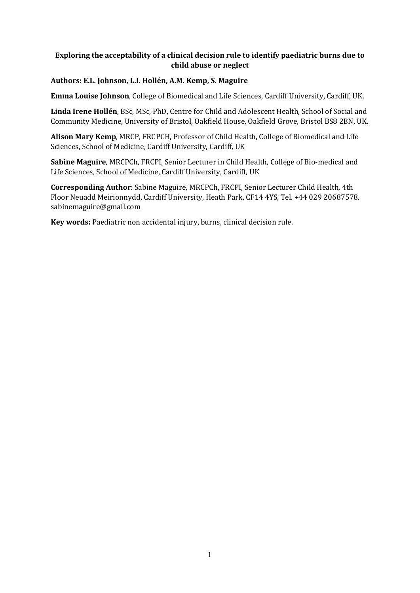# **Exploring the acceptability of a clinical decision rule to identify paediatric burns due to child abuse or neglect**

# **Authors: E.L. Johnson, L.I. Hollén, A.M. Kemp, S. Maguire**

**Emma Louise Johnson**, College of Biomedical and Life Sciences, Cardiff University, Cardiff, UK.

**Linda Irene Hollén**, BSc, MSc, PhD, Centre for Child and Adolescent Health, School of Social and Community Medicine, University of Bristol, Oakfield House, Oakfield Grove, Bristol BS8 2BN, UK.

**Alison Mary Kemp**, MRCP, FRCPCH, Professor of Child Health, College of Biomedical and Life Sciences, School of Medicine, Cardiff University, Cardiff, UK

**Sabine Maguire**, MRCPCh, FRCPI, Senior Lecturer in Child Health, College of Bio-medical and Life Sciences, School of Medicine, Cardiff University, Cardiff, UK

**Corresponding Author**: Sabine Maguire, MRCPCh, FRCPI, Senior Lecturer Child Health, 4th Floor Neuadd Meirionnydd, Cardiff University, Heath Park, CF14 4YS, Tel. +44 029 20687578. sabinemaguire@gmail.com

**Key words:** Paediatric non accidental injury, burns, clinical decision rule.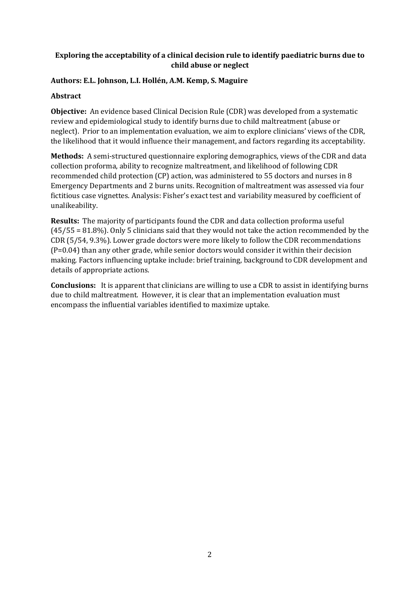# **Exploring the acceptability of a clinical decision rule to identify paediatric burns due to child abuse or neglect**

# **Authors: E.L. Johnson, L.I. Hollén, A.M. Kemp, S. Maguire**

# **Abstract**

**Objective:** An evidence based Clinical Decision Rule (CDR) was developed from a systematic review and epidemiological study to identify burns due to child maltreatment (abuse or neglect). Prior to an implementation evaluation, we aim to explore clinicians' views of the CDR, the likelihood that it would influence their management, and factors regarding its acceptability.

**Methods:** A semi-structured questionnaire exploring demographics, views of the CDR and data collection proforma, ability to recognize maltreatment, and likelihood of following CDR recommended child protection (CP) action, was administered to 55 doctors and nurses in 8 Emergency Departments and 2 burns units. Recognition of maltreatment was assessed via four fictitious case vignettes. Analysis: Fisher's exact test and variability measured by coefficient of unalikeability.

**Results:** The majority of participants found the CDR and data collection proforma useful (45/55 = 81.8%). Only 5 clinicians said that they would not take the action recommended by the CDR (5/54, 9.3%). Lower grade doctors were more likely to follow the CDR recommendations (P=0.04) than any other grade, while senior doctors would consider it within their decision making. Factors influencing uptake include: brief training, background to CDR development and details of appropriate actions.

**Conclusions:** It is apparent that clinicians are willing to use a CDR to assist in identifying burns due to child maltreatment. However, it is clear that an implementation evaluation must encompass the influential variables identified to maximize uptake.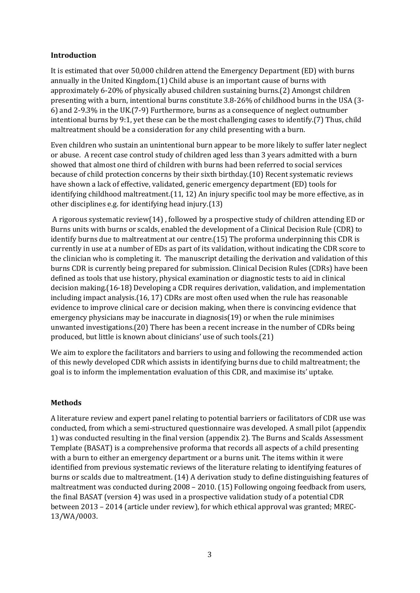#### **Introduction**

It is estimated that over 50,000 children attend the Emergency Department (ED) with burns annually in the United Kingdom.[\(1\)](#page-13-0) Child abuse is an important cause of burns with approximately 6-20% of physically abused children sustaining burns.[\(2\)](#page-13-1) Amongst children presenting with a burn, intentional burns constitute 3.8-26% of childhood burns in the USA [\(3-](#page-13-2) [6\)](#page-13-2) and 2-9.3% in the UK.[\(7-9\)](#page-13-3) Furthermore, burns as a consequence of neglect outnumber intentional burns by 9:1, yet these can be the most challenging cases to identify.[\(7\)](#page-13-3) Thus, child maltreatment should be a consideration for any child presenting with a burn.

Even children who sustain an unintentional burn appear to be more likely to suffer later neglect or abuse. A recent case control study of children aged less than 3 years admitted with a burn showed that almost one third of children with burns had been referred to social services because of child protection concerns by their sixth birthday.[\(10\)](#page-13-4) Recent systematic reviews have shown a lack of effective, validated, generic emergency department (ED) tools for identifying childhood maltreatment.[\(11,](#page-13-5) [12\)](#page-13-6) An injury specific tool may be more effective, as in other disciplines e.g. for identifying head injury.[\(13\)](#page-13-7)

 A rigorous systematic review[\(14\)](#page-13-8) , followed by a prospective study of children attending ED or Burns units with burns or scalds, enabled the development of a Clinical Decision Rule (CDR) to identify burns due to maltreatment at our centre.[\(15\)](#page-13-9) The proforma underpinning this CDR is currently in use at a number of EDs as part of its validation, without indicating the CDR score to the clinician who is completing it. The manuscript detailing the derivation and validation of this burns CDR is currently being prepared for submission. Clinical Decision Rules (CDRs) have been defined as tools that use history, physical examination or diagnostic tests to aid in clinical decision making.[\(16-18\)](#page-13-10) Developing a CDR requires derivation, validation, and implementation including impact analysis.[\(16,](#page-13-10) [17\)](#page-13-11) CDRs are most often used when the rule has reasonable evidence to improve clinical care or decision making, when there is convincing evidence that emergency physicians may be inaccurate in diagnosis[\(19\)](#page-13-12) or when the rule minimises unwanted investigations.[\(20\)](#page-13-13) There has been a recent increase in the number of CDRs being produced, but little is known about clinicians' use of such tools.[\(21\)](#page-13-14)

We aim to explore the facilitators and barriers to using and following the recommended action of this newly developed CDR which assists in identifying burns due to child maltreatment; the goal is to inform the implementation evaluation of this CDR, and maximise its' uptake.

#### **Methods**

A literature review and expert panel relating to potential barriers or facilitators of CDR use was conducted, from which a semi-structured questionnaire was developed. A small pilot (appendix 1) was conducted resulting in the final version (appendix 2). The Burns and Scalds Assessment Template (BASAT) is a comprehensive proforma that records all aspects of a child presenting with a burn to either an emergency department or a burns unit. The items within it were identified from previous systematic reviews of the literature relating to identifying features of burns or scalds due to maltreatment. [\(14\)](#page-13-8) A derivation study to define distinguishing features of maltreatment was conducted during 2008 – 2010. [\(15\)](#page-13-9) Following ongoing feedback from users, the final BASAT (version 4) was used in a prospective validation study of a potential CDR between 2013 – 2014 (article under review), for which ethical approval was granted; MREC-13/WA/0003.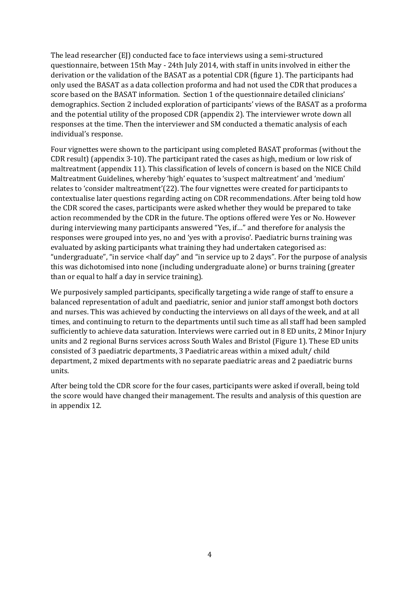The lead researcher (EJ) conducted face to face interviews using a semi-structured questionnaire, between 15th May - 24th July 2014, with staff in units involved in either the derivation or the validation of the BASAT as a potential CDR (figure 1). The participants had only used the BASAT as a data collection proforma and had not used the CDR that produces a score based on the BASAT information. Section 1 of the questionnaire detailed clinicians' demographics. Section 2 included exploration of participants' views of the BASAT as a proforma and the potential utility of the proposed CDR (appendix 2). The interviewer wrote down all responses at the time. Then the interviewer and SM conducted a thematic analysis of each individual's response.

Four vignettes were shown to the participant using completed BASAT proformas (without the CDR result) (appendix 3-10). The participant rated the cases as high, medium or low risk of maltreatment (appendix 11). This classification of levels of concern is based on the NICE Child Maltreatment Guidelines, whereby 'high' equates to 'suspect maltreatment' and 'medium' relates to 'consider maltreatment'[\(22\)](#page-13-15). The four vignettes were created for participants to contextualise later questions regarding acting on CDR recommendations. After being told how the CDR scored the cases, participants were asked whether they would be prepared to take action recommended by the CDR in the future. The options offered were Yes or No. However during interviewing many participants answered "Yes, if..." and therefore for analysis the responses were grouped into yes, no and 'yes with a proviso'. Paediatric burns training was evaluated by asking participants what training they had undertaken categorised as: "undergraduate", "in service  $\langle$ half day" and "in service up to 2 days". For the purpose of analysis this was dichotomised into none (including undergraduate alone) or burns training (greater than or equal to half a day in service training).

We purposively sampled participants, specifically targeting a wide range of staff to ensure a balanced representation of adult and paediatric, senior and junior staff amongst both doctors and nurses. This was achieved by conducting the interviews on all days of the week, and at all times, and continuing to return to the departments until such time as all staff had been sampled sufficiently to achieve data saturation. Interviews were carried out in 8 ED units, 2 Minor Injury units and 2 regional Burns services across South Wales and Bristol (Figure 1). These ED units consisted of 3 paediatric departments, 3 Paediatric areas within a mixed adult/ child department, 2 mixed departments with no separate paediatric areas and 2 paediatric burns units.

After being told the CDR score for the four cases, participants were asked if overall, being told the score would have changed their management. The results and analysis of this question are in appendix 12.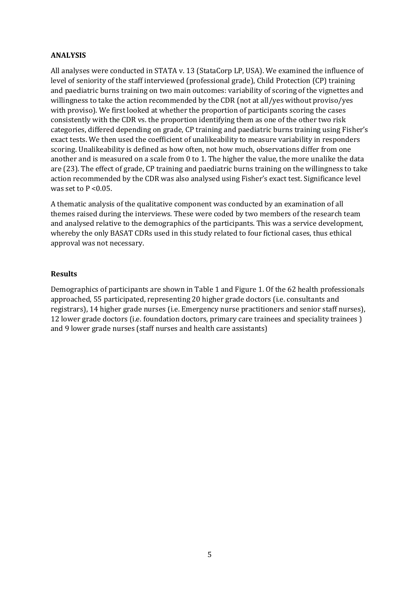#### **ANALYSIS**

All analyses were conducted in STATA v. 13 (StataCorp LP, USA). We examined the influence of level of seniority of the staff interviewed (professional grade), Child Protection (CP) training and paediatric burns training on two main outcomes: variability of scoring of the vignettes and willingness to take the action recommended by the CDR (not at all/yes without proviso/yes with proviso). We first looked at whether the proportion of participants scoring the cases consistently with the CDR vs. the proportion identifying them as one of the other two risk categories, differed depending on grade, CP training and paediatric burns training using Fisher's exact tests. We then used the coefficient of unalikeability to measure variability in responders scoring. Unalikeability is defined as how often, not how much, observations differ from one another and is measured on a scale from 0 to 1. The higher the value, the more unalike the data are [\(23\)](#page-14-0). The effect of grade, CP training and paediatric burns training on the willingness to take action recommended by the CDR was also analysed using Fisher's exact test. Significance level was set to  $P < 0.05$ .

A thematic analysis of the qualitative component was conducted by an examination of all themes raised during the interviews. These were coded by two members of the research team and analysed relative to the demographics of the participants. This was a service development, whereby the only BASAT CDRs used in this study related to four fictional cases, thus ethical approval was not necessary.

#### **Results**

Demographics of participants are shown in Table 1 and Figure 1. Of the 62 health professionals approached, 55 participated, representing 20 higher grade doctors (i.e. consultants and registrars), 14 higher grade nurses (i.e. Emergency nurse practitioners and senior staff nurses), 12 lower grade doctors (i.e. foundation doctors, primary care trainees and speciality trainees ) and 9 lower grade nurses (staff nurses and health care assistants)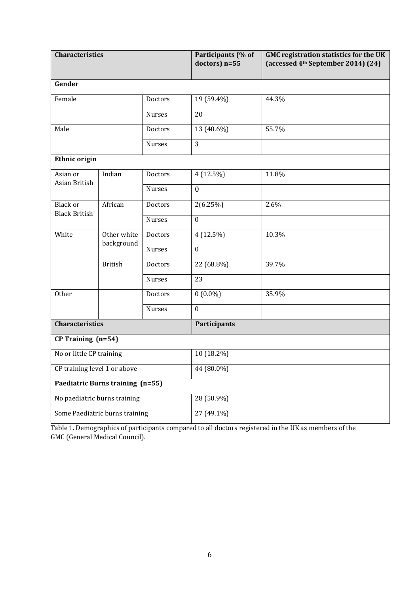| <b>Characteristics</b>                  |                                  |               | Participants (% of<br>doctors) n=55 | <b>GMC registration statistics for the UK</b><br>(accessed 4 <sup>th</sup> September 2014) (24) |  |  |  |  |  |
|-----------------------------------------|----------------------------------|---------------|-------------------------------------|-------------------------------------------------------------------------------------------------|--|--|--|--|--|
| Gender                                  |                                  |               |                                     |                                                                                                 |  |  |  |  |  |
| Female                                  |                                  | Doctors       | 19 (59.4%)                          | 44.3%                                                                                           |  |  |  |  |  |
|                                         |                                  | Nurses        | 20                                  |                                                                                                 |  |  |  |  |  |
| Male                                    |                                  | Doctors       | 13 (40.6%)                          | 55.7%                                                                                           |  |  |  |  |  |
|                                         |                                  | <b>Nurses</b> | 3                                   |                                                                                                 |  |  |  |  |  |
| Ethnic origin                           |                                  |               |                                     |                                                                                                 |  |  |  |  |  |
| Asian or<br>Asian British               | Indian                           | Doctors       | $4(12.5\%)$                         | 11.8%                                                                                           |  |  |  |  |  |
|                                         |                                  | <b>Nurses</b> | $\boldsymbol{0}$                    |                                                                                                 |  |  |  |  |  |
| <b>Black or</b><br><b>Black British</b> | African                          | Doctors       | 2(6.25%)                            | 2.6%                                                                                            |  |  |  |  |  |
|                                         |                                  | <b>Nurses</b> | $\boldsymbol{0}$                    |                                                                                                 |  |  |  |  |  |
| White                                   | Other white<br>background        | Doctors       | $4(12.5\%)$                         | 10.3%                                                                                           |  |  |  |  |  |
|                                         |                                  | <b>Nurses</b> | $\boldsymbol{0}$                    |                                                                                                 |  |  |  |  |  |
|                                         | <b>British</b>                   | Doctors       | 22 (68.8%)                          | 39.7%                                                                                           |  |  |  |  |  |
|                                         |                                  | Nurses        | 23                                  |                                                                                                 |  |  |  |  |  |
| Other                                   |                                  | Doctors       | $0(0.0\%)$                          | 35.9%                                                                                           |  |  |  |  |  |
|                                         |                                  | Nurses        | $\boldsymbol{0}$                    |                                                                                                 |  |  |  |  |  |
| <b>Characteristics</b>                  |                                  |               | Participants                        |                                                                                                 |  |  |  |  |  |
| CP Training (n=54)                      |                                  |               |                                     |                                                                                                 |  |  |  |  |  |
| No or little CP training                |                                  |               | 10 (18.2%)                          |                                                                                                 |  |  |  |  |  |
| CP training level 1 or above            |                                  |               | 44 (80.0%)                          |                                                                                                 |  |  |  |  |  |
|                                         | Paediatric Burns training (n=55) |               |                                     |                                                                                                 |  |  |  |  |  |
| No paediatric burns training            |                                  |               | 28 (50.9%)                          |                                                                                                 |  |  |  |  |  |
|                                         | Some Paediatric burns training   |               | 27 (49.1%)                          |                                                                                                 |  |  |  |  |  |

Table 1. Demographics of participants compared to all doctors registered in the UK as members of the GMC (General Medical Council).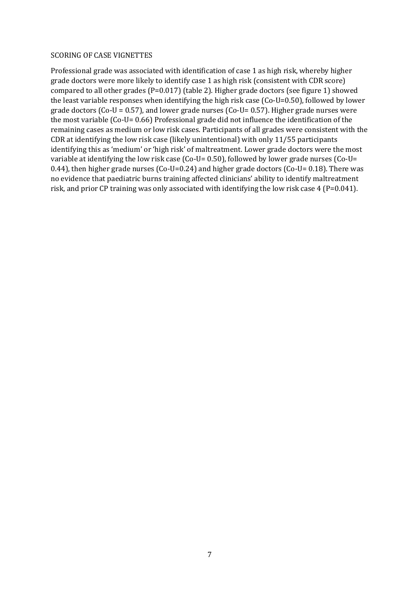#### SCORING OF CASE VIGNETTES

Professional grade was associated with identification of case 1 as high risk, whereby higher grade doctors were more likely to identify case 1 as high risk (consistent with CDR score) compared to all other grades (P=0.017) (table 2). Higher grade doctors (see figure 1) showed the least variable responses when identifying the high risk case (Co-U=0.50), followed by lower grade doctors ( $Co-U = 0.57$ ), and lower grade nurses ( $Co-U = 0.57$ ). Higher grade nurses were the most variable (Co-U= 0.66) Professional grade did not influence the identification of the remaining cases as medium or low risk cases. Participants of all grades were consistent with the CDR at identifying the low risk case (likely unintentional) with only 11/55 participants identifying this as 'medium' or 'high risk' of maltreatment. Lower grade doctors were the most variable at identifying the low risk case (Co-U= 0.50), followed by lower grade nurses (Co-U= 0.44), then higher grade nurses (Co-U=0.24) and higher grade doctors (Co-U= 0.18). There was no evidence that paediatric burns training affected clinicians' ability to identify maltreatment risk, and prior CP training was only associated with identifying the low risk case 4 (P=0.041).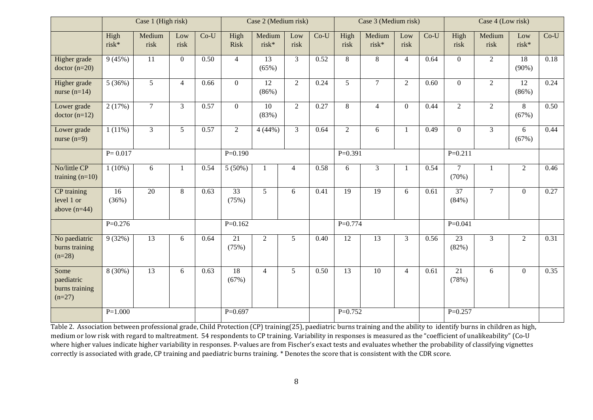|                                                  | Case 1 (High risk) |                 |                | Case 2 (Medium risk) |                          |                          | Case 3 (Medium risk) |        |                 | Case 4 (Low risk) |                |        |                          |                |                |        |
|--------------------------------------------------|--------------------|-----------------|----------------|----------------------|--------------------------|--------------------------|----------------------|--------|-----------------|-------------------|----------------|--------|--------------------------|----------------|----------------|--------|
|                                                  | High<br>risk*      | Medium<br>risk  | Low<br>risk    | $Co-U$               | High<br><b>Risk</b>      | Medium<br>risk*          | Low<br>risk          | $Co-U$ | High<br>risk    | Medium<br>risk*   | Low<br>risk    | $Co-U$ | High<br>risk             | Medium<br>risk | Low<br>risk*   | $Co-U$ |
| Higher grade<br>$doctor (n=20)$                  | 9(45%)             | 11              | $\overline{0}$ | 0.50                 | $\overline{4}$           | $\overline{13}$<br>(65%) | $\overline{3}$       | 0.52   | 8               | 8                 | $\overline{4}$ | 0.64   | $\overline{0}$           | $\overline{2}$ | 18<br>$(90\%)$ | 0.18   |
| Higher grade<br>nurse $(n=14)$                   | 5(36%)             | 5               | $\overline{4}$ | 0.66                 | $\overline{0}$           | 12<br>(86%)              | $\overline{2}$       | 0.24   | $\mathfrak{S}$  | $\tau$            | 2              | 0.60   | $\overline{0}$           | $\overline{2}$ | 12<br>(86%)    | 0.24   |
| Lower grade<br>$doctor (n=12)$                   | 2(17%)             | $\tau$          | $\overline{3}$ | 0.57                 | $\overline{0}$           | 10<br>(83%)              | $\overline{2}$       | 0.27   | 8               | $\overline{4}$    | $\mathbf{0}$   | 0.44   | $\overline{2}$           | $\overline{2}$ | 8<br>(67%)     | 0.50   |
| Lower grade<br>nurse $(n=9)$                     | $1(11\%)$          | $\mathfrak{Z}$  | 5              | 0.57                 | $\overline{2}$           | 4(44%)                   | $\mathfrak{Z}$       | 0.64   | $\overline{2}$  | 6                 | -1             | 0.49   | $\overline{0}$           | $\overline{3}$ | 6<br>(67%)     | 0.44   |
|                                                  | $P = 0.017$        |                 |                |                      | $P=0.190$                |                          |                      |        | $P=0.391$       |                   |                |        | $P=0.211$                |                |                |        |
| No/little CP<br>training $(n=10)$                | $1(10\%)$          | 6               | 1              | 0.54                 | 5(50%)                   | $\mathbf{1}$             | $\overline{4}$       | 0.58   | 6               | $\overline{3}$    | -1             | 0.54   | $\tau$<br>(70%)          | $\mathbf{1}$   | $\overline{2}$ | 0.46   |
| CP training<br>level 1 or<br>above $(n=44)$      | 16<br>(36%)        | 20              | 8              | 0.63                 | $\overline{33}$<br>(75%) | $5\overline{)}$          | 6                    | 0.41   | $\overline{19}$ | 19                | 6              | 0.61   | 37<br>(84%)              | $\overline{7}$ | $\Omega$       | 0.27   |
|                                                  | $P=0.276$          |                 |                |                      | $P=0.162$                |                          |                      |        | $P=0.774$       |                   |                |        | $P=0.041$                |                |                |        |
| No paediatric<br>burns training<br>$(n=28)$      | 9(32%)             | $\overline{13}$ | 6              | 0.64                 | $\overline{21}$<br>(75%) | $\overline{2}$           | $\overline{5}$       | 0.40   | 12              | $\overline{13}$   | $\overline{3}$ | 0.56   | 23<br>(82%)              | $\overline{3}$ | $\overline{2}$ | 0.31   |
| Some<br>paediatric<br>burns training<br>$(n=27)$ | $8(30\%)$          | $\overline{13}$ | 6              | 0.63                 | 18<br>(67%)              | $\overline{4}$           | 5 <sup>5</sup>       | 0.50   | $\overline{13}$ | 10                | $\overline{4}$ | 0.61   | $\overline{21}$<br>(78%) | 6              | $\Omega$       | 0.35   |
|                                                  | $P=1.000$          |                 |                |                      | $P=0.697$                |                          |                      |        | $P=0.752$       |                   |                |        | $P=0.257$                |                |                |        |

Table 2. Association between professional grade, Child Protection (CP) training[\(25\)](#page-14-2), paediatric burns training and the ability to identify burns in children as high, medium or low risk with regard to maltreatment. 54 respondents to CP training. Variability in responses is measured as the "coefficient of unalikeability" (Co-U where higher values indicate higher variability in responses. P-values are from Fischer's exact tests and evaluates whether the probability of classifying vignettes correctly is associated with grade, CP training and paediatric burns training. \* Denotes the score that is consistent with the CDR score.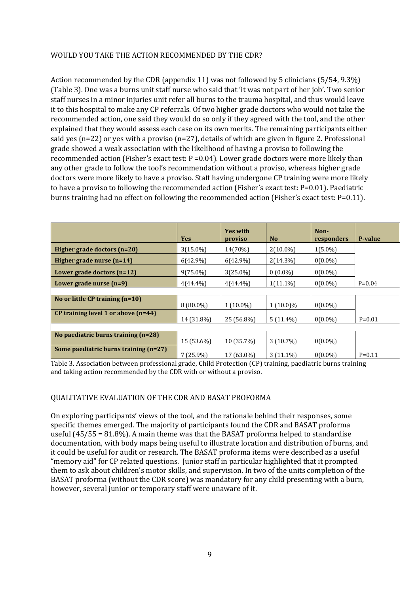# WOULD YOU TAKE THE ACTION RECOMMENDED BY THE CDR?

Action recommended by the CDR (appendix 11) was not followed by 5 clinicians (5/54, 9.3%) (Table 3). One was a burns unit staff nurse who said that 'it was not part of her job'. Two senior staff nurses in a minor injuries unit refer all burns to the trauma hospital, and thus would leave it to this hospital to make any CP referrals. Of two higher grade doctors who would not take the recommended action, one said they would do so only if they agreed with the tool, and the other explained that they would assess each case on its own merits. The remaining participants either said yes (n=22) or yes with a proviso (n=27), details of which are given in figure 2. Professional grade showed a weak association with the likelihood of having a proviso to following the recommended action (Fisher's exact test:  $P = 0.04$ ). Lower grade doctors were more likely than any other grade to follow the tool's recommendation without a proviso, whereas higher grade doctors were more likely to have a proviso. Staff having undergone CP training were more likely to have a proviso to following the recommended action (Fisher's exact test:  $P=0.01$ ). Paediatric burns training had no effect on following the recommended action (Fisher's exact test: P=0.11).

|                                       | <b>Yes</b>  | <b>Yes with</b><br>proviso | N <sub>o</sub> | Non-<br>responders | <b>P-value</b> |
|---------------------------------------|-------------|----------------------------|----------------|--------------------|----------------|
| Higher grade doctors (n=20)           | $3(15.0\%)$ | 14(70%)                    | $2(10.0\%)$    | $1(5.0\%)$         |                |
| Higher grade nurse $(n=14)$           | $6(42.9\%)$ | $6(42.9\%)$                | $2(14.3\%)$    | $0(0.0\%)$         |                |
| Lower grade doctors $(n=12)$          | $9(75.0\%)$ | $3(25.0\%)$                | $0(0.0\%)$     | $0(0.0\%)$         |                |
| Lower grade nurse $(n=9)$             | $4(44.4\%)$ | $4(44.4\%)$                | $1(11.1\%)$    | $0(0.0\%)$         | $P = 0.04$     |
|                                       |             |                            |                |                    |                |
| No or little CP training $(n=10)$     | $8(80.0\%)$ | $1(10.0\%)$                | $1(10.0)\%$    | $0(0.0\%)$         |                |
| CP training level 1 or above $(n=44)$ | 14 (31.8%)  | 25 (56.8%)                 | $5(11.4\%)$    | $0(0.0\%)$         | $P=0.01$       |
|                                       |             |                            |                |                    |                |
| No paediatric burns training $(n=28)$ | 15 (53.6%)  | 10 (35.7%)                 | $3(10.7\%)$    | $0(0.0\%)$         |                |
| Some paediatric burns training (n=27) | $7(25.9\%)$ | 17 (63.0%)                 | $3(11.1\%)$    | $0(0.0\%)$         | $P=0.11$       |

Table 3. Association between professional grade, Child Protection (CP) training, paediatric burns training and taking action recommended by the CDR with or without a proviso.

# QUALITATIVE EVALUATION OF THE CDR AND BASAT PROFORMA

On exploring participants' views of the tool, and the rationale behind their responses, some specific themes emerged. The majority of participants found the CDR and BASAT proforma useful  $(45/55 = 81.8\%)$ . A main theme was that the BASAT proforma helped to standardise documentation, with body maps being useful to illustrate location and distribution of burns, and it could be useful for audit or research. The BASAT proforma items were described as a useful "memory aid" for CP related questions. Junior staff in particular highlighted that it prompted them to ask about children's motor skills, and supervision. In two of the units completion of the BASAT proforma (without the CDR score) was mandatory for any child presenting with a burn, however, several junior or temporary staff were unaware of it.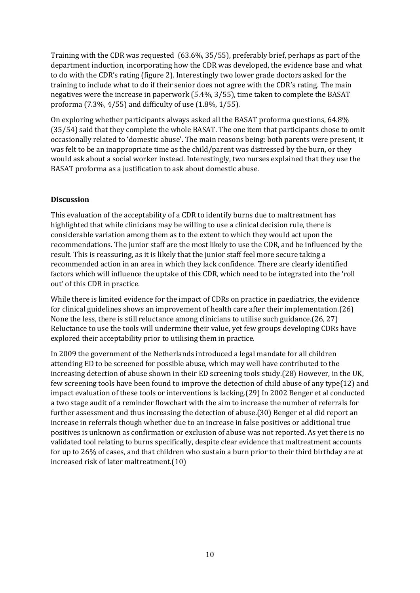Training with the CDR was requested (63.6%, 35/55), preferably brief, perhaps as part of the department induction, incorporating how the CDR was developed, the evidence base and what to do with the CDR's rating (figure 2). Interestingly two lower grade doctors asked for the training to include what to do if their senior does not agree with the CDR's rating. The main negatives were the increase in paperwork (5.4%, 3/55), time taken to complete the BASAT proforma (7.3%, 4/55) and difficulty of use (1.8%, 1/55).

On exploring whether participants always asked all the BASAT proforma questions, 64.8% (35/54) said that they complete the whole BASAT. The one item that participants chose to omit occasionally related to 'domestic abuse'. The main reasons being: both parents were present, it was felt to be an inappropriate time as the child/parent was distressed by the burn, or they would ask about a social worker instead. Interestingly, two nurses explained that they use the BASAT proforma as a justification to ask about domestic abuse.

# **Discussion**

This evaluation of the acceptability of a CDR to identify burns due to maltreatment has highlighted that while clinicians may be willing to use a clinical decision rule, there is considerable variation among them as to the extent to which they would act upon the recommendations. The junior staff are the most likely to use the CDR, and be influenced by the result. This is reassuring, as it is likely that the junior staff feel more secure taking a recommended action in an area in which they lack confidence. There are clearly identified factors which will influence the uptake of this CDR, which need to be integrated into the 'roll out' of this CDR in practice.

While there is limited evidence for the impact of CDRs on practice in paediatrics, the evidence for clinical guidelines shows an improvement of health care after their implementation.[\(26\)](#page-14-3) None the less, there is still reluctance among clinicians to utilise such guidance.[\(26,](#page-14-3) [27\)](#page-14-4) Reluctance to use the tools will undermine their value, yet few groups developing CDRs have explored their acceptability prior to utilising them in practice.

In 2009 the government of the Netherlands introduced a legal mandate for all children attending ED to be screened for possible abuse, which may well have contributed to the increasing detection of abuse shown in their ED screening tools study.[\(28\)](#page-14-5) However, in the UK, few screening tools have been found to improve the detection of child abuse of any type[\(12\)](#page-13-6) and impact evaluation of these tools or interventions is lacking.[\(29\)](#page-14-6) In 2002 Benger et al conducted a two stage audit of a reminder flowchart with the aim to increase the number of referrals for further assessment and thus increasing the detection of abuse.[\(30\)](#page-14-7) Benger et al did report an increase in referrals though whether due to an increase in false positives or additional true positives is unknown as confirmation or exclusion of abuse was not reported. As yet there is no validated tool relating to burns specifically, despite clear evidence that maltreatment accounts for up to 26% of cases, and that children who sustain a burn prior to their third birthday are at increased risk of later maltreatment.[\(10\)](#page-13-4)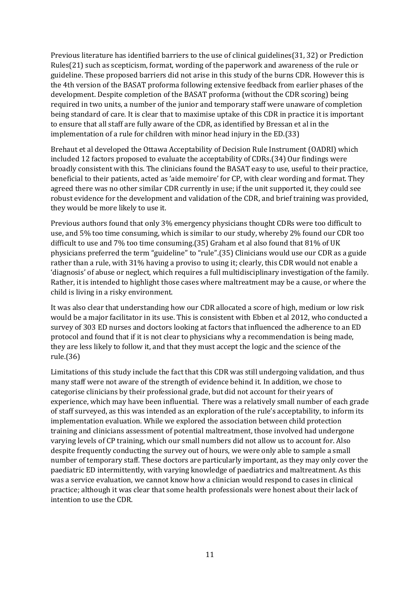Previous literature has identified barriers to the use of clinical guidelines[\(31,](#page-14-8) [32\)](#page-14-9) or Prediction Rules[\(21\)](#page-13-14) such as scepticism, format, wording of the paperwork and awareness of the rule or guideline. These proposed barriers did not arise in this study of the burns CDR. However this is the 4th version of the BASAT proforma following extensive feedback from earlier phases of the development. Despite completion of the BASAT proforma (without the CDR scoring) being required in two units, a number of the junior and temporary staff were unaware of completion being standard of care. It is clear that to maximise uptake of this CDR in practice it is important to ensure that all staff are fully aware of the CDR, as identified by Bressan et al in the implementation of a rule for children with minor head injury in the ED.[\(33\)](#page-14-10)

Brehaut et al developed the Ottawa Acceptability of Decision Rule Instrument (OADRI) which included 12 factors proposed to evaluate the acceptability of CDRs.[\(34\)](#page-14-11) Our findings were broadly consistent with this. The clinicians found the BASAT easy to use, useful to their practice, beneficial to their patients, acted as 'aide memoire' for CP, with clear wording and format. They agreed there was no other similar CDR currently in use; if the unit supported it, they could see robust evidence for the development and validation of the CDR, and brief training was provided, they would be more likely to use it.

Previous authors found that only 3% emergency physicians thought CDRs were too difficult to use, and 5% too time consuming, which is similar to our study, whereby 2% found our CDR too difficult to use and 7% too time consuming.[\(35\)](#page-14-12) Graham et al also found that 81% of UK physicians preferred the term "guideline" to "rule".[\(35\)](#page-14-12) Clinicians would use our CDR as a guide rather than a rule, with 31% having a proviso to using it; clearly, this CDR would not enable a Ǯdiagnosisǯ of abuse or neglect, which requires a full multidisciplinary investigation of the family. Rather, it is intended to highlight those cases where maltreatment may be a cause, or where the child is living in a risky environment.

It was also clear that understanding how our CDR allocated a score of high, medium or low risk would be a major facilitator in its use. This is consistent with Ebben et al 2012, who conducted a survey of 303 ED nurses and doctors looking at factors that influenced the adherence to an ED protocol and found that if it is not clear to physicians why a recommendation is being made, they are less likely to follow it, and that they must accept the logic and the science of the rule.[\(36\)](#page-14-13)

Limitations of this study include the fact that this CDR was still undergoing validation, and thus many staff were not aware of the strength of evidence behind it. In addition, we chose to categorise clinicians by their professional grade, but did not account for their years of experience, which may have been influential. There was a relatively small number of each grade of staff surveyed, as this was intended as an exploration of the rule's acceptability, to inform its implementation evaluation. While we explored the association between child protection training and clinicians assessment of potential maltreatment, those involved had undergone varying levels of CP training, which our small numbers did not allow us to account for. Also despite frequently conducting the survey out of hours, we were only able to sample a small number of temporary staff. These doctors are particularly important, as they may only cover the paediatric ED intermittently, with varying knowledge of paediatrics and maltreatment. As this was a service evaluation, we cannot know how a clinician would respond to cases in clinical practice; although it was clear that some health professionals were honest about their lack of intention to use the CDR.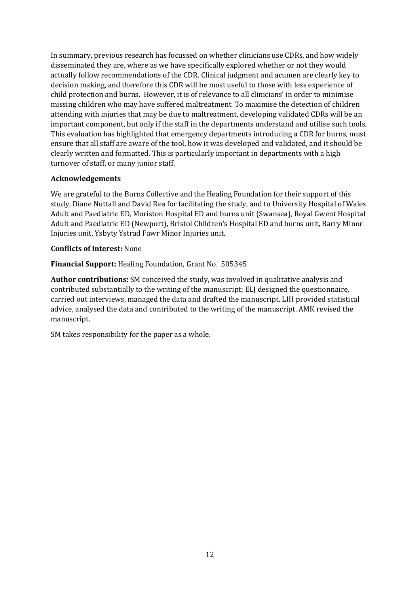In summary, previous research has focussed on whether clinicians use CDRs, and how widely disseminated they are, where as we have specifically explored whether or not they would actually follow recommendations of the CDR. Clinical judgment and acumen are clearly key to decision making, and therefore this CDR will be most useful to those with less experience of child protection and burns. However, it is of relevance to all clinicians' in order to minimise missing children who may have suffered maltreatment. To maximise the detection of children attending with injuries that may be due to maltreatment, developing validated CDRs will be an important component, but only if the staff in the departments understand and utilise such tools. This evaluation has highlighted that emergency departments introducing a CDR for burns, must ensure that all staff are aware of the tool, how it was developed and validated, and it should be clearly written and formatted. This is particularly important in departments with a high turnover of staff, or many junior staff.

# **Acknowledgements**

We are grateful to the Burns Collective and the Healing Foundation for their support of this study, Diane Nuttall and David Rea for facilitating the study, and to University Hospital of Wales Adult and Paediatric ED, Moriston Hospital ED and burns unit (Swansea), Royal Gwent Hospital Adult and Paediatric ED (Newport), Bristol Children's Hospital ED and burns unit, Barry Minor Injuries unit, Ysbyty Ystrad Fawr Minor Injuries unit.

# **Conflicts of interest:** None

**Financial Support:** Healing Foundation, Grant No. 505345

**Author contributions:** SM conceived the study, was involved in qualitative analysis and contributed substantially to the writing of the manuscript; ELJ designed the questionnaire, carried out interviews, managed the data and drafted the manuscript. LIH provided statistical advice, analysed the data and contributed to the writing of the manuscript. AMK revised the manuscript.

SM takes responsibility for the paper as a whole.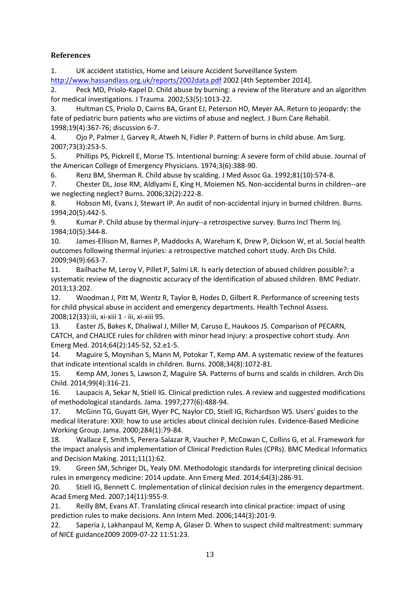# **References**

<span id="page-13-0"></span>1. UK accident statistics, Home and Leisure Accident Surveillance System <http://www.hassandlass.org.uk/reports/2002data.pdf>2002 [4th September 2014].

<span id="page-13-1"></span>2. Peck MD, Priolo-Kapel D. Child abuse by burning: a review of the literature and an algorithm for medical investigations. J Trauma. 2002;53(5):1013-22.

<span id="page-13-2"></span>3. Hultman CS, Priolo D, Cairns BA, Grant EJ, Peterson HD, Meyer AA. Return to jeopardy: the fate of pediatric burn patients who are victims of abuse and neglect. J Burn Care Rehabil. 1998;19(4):367-76; discussion 6-7.

4. Ojo P, Palmer J, Garvey R, Atweh N, Fidler P. Pattern of burns in child abuse. Am Surg. 2007;73(3):253-5.

5. Phillips PS, Pickrell E, Morse TS. Intentional burning: A severe form of child abuse. Journal of the American College of Emergency Physicians. 1974;3(6):388-90.

6. Renz BM, Sherman R. Child abuse by scalding. J Med Assoc Ga. 1992;81(10):574-8.

<span id="page-13-3"></span>7. Chester DL, Jose RM, Aldlyami E, King H, Moiemen NS. Non-accidental burns in children--are we neglecting neglect? Burns. 2006;32(2):222-8.

8. Hobson MI, Evans J, Stewart IP. An audit of non-accidental injury in burned children. Burns. 1994;20(5):442-5.

9. Kumar P. Child abuse by thermal injury--a retrospective survey. Burns Incl Therm Inj. 1984;10(5):344-8.

<span id="page-13-4"></span>10. James-Ellison M, Barnes P, Maddocks A, Wareham K, Drew P, Dickson W, et al. Social health outcomes following thermal injuries: a retrospective matched cohort study. Arch Dis Child. 2009;94(9):663-7.

<span id="page-13-5"></span>11. Bailhache M, Leroy V, Pillet P, Salmi LR. Is early detection of abused children possible?: a systematic review of the diagnostic accuracy of the identification of abused children. BMC Pediatr. 2013;13:202.

<span id="page-13-6"></span>12. Woodman J, Pitt M, Wentz R, Taylor B, Hodes D, Gilbert R. Performance of screening tests for child physical abuse in accident and emergency departments. Health Technol Assess. 2008;12(33):iii, xi-xiii 1 - iii, xi-xiii 95.

<span id="page-13-7"></span>13. Easter JS, Bakes K, Dhaliwal J, Miller M, Caruso E, Haukoos JS. Comparison of PECARN, CATCH, and CHALICE rules for children with minor head injury: a prospective cohort study. Ann Emerg Med. 2014;64(2):145-52, 52.e1-5.

<span id="page-13-8"></span>14. Maguire S, Moynihan S, Mann M, Potokar T, Kemp AM. A systematic review of the features that indicate intentional scalds in children. Burns. 2008;34(8):1072-81.

<span id="page-13-9"></span>15. Kemp AM, Jones S, Lawson Z, Maguire SA. Patterns of burns and scalds in children. Arch Dis Child. 2014;99(4):316-21.

<span id="page-13-10"></span>16. Laupacis A, Sekar N, Stiell IG. Clinical prediction rules. A review and suggested modifications of methodological standards. Jama. 1997;277(6):488-94.

<span id="page-13-11"></span>17. McGinn TG, Guyatt GH, Wyer PC, Naylor CD, Stiell IG, Richardson WS. Users' guides to the medical literature: XXII: how to use articles about clinical decision rules. Evidence-Based Medicine Working Group. Jama. 2000;284(1):79-84.

18. Wallace E, Smith S, Perera-Salazar R, Vaucher P, McCowan C, Collins G, et al. Framework for the impact analysis and implementation of Clinical Prediction Rules (CPRs). BMC Medical Informatics and Decision Making. 2011;11(1):62.

<span id="page-13-12"></span>19. Green SM, Schriger DL, Yealy DM. Methodologic standards for interpreting clinical decision rules in emergency medicine: 2014 update. Ann Emerg Med. 2014;64(3):286-91.

<span id="page-13-13"></span>20. Stiell IG, Bennett C. Implementation of clinical decision rules in the emergency department. Acad Emerg Med. 2007;14(11):955-9.

<span id="page-13-14"></span>21. Reilly BM, Evans AT. Translating clinical research into clinical practice: impact of using prediction rules to make decisions. Ann Intern Med. 2006;144(3):201-9.

<span id="page-13-15"></span>22. Saperia J, Lakhanpaul M, Kemp A, Glaser D. When to suspect child maltreatment: summary of NICE guidance2009 2009-07-22 11:51:23.